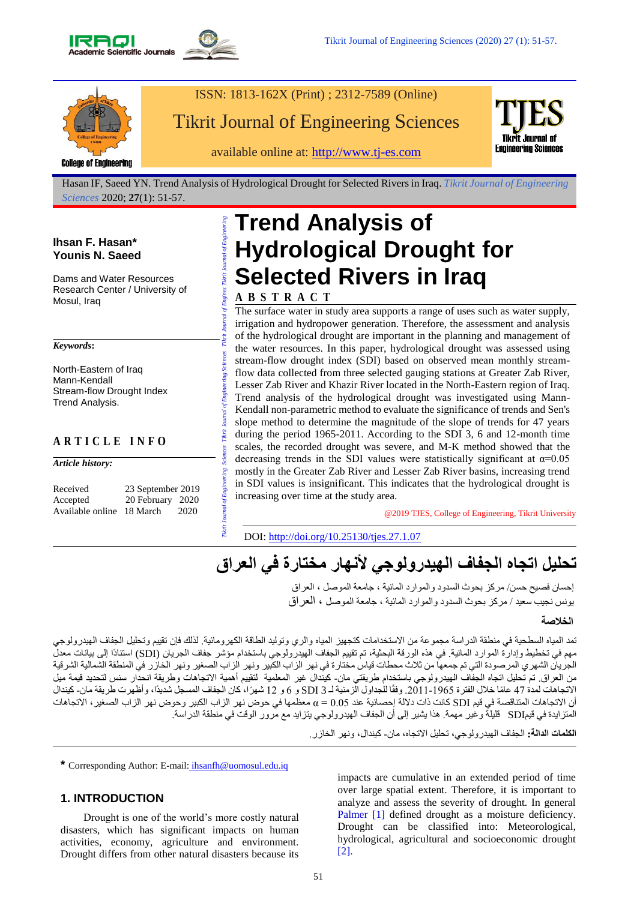



# ISSN: 1813-162X (Print) ; 2312-7589 (Online) Tikrit Journal of Engineering Sciences

available online at: [http://www.tj-es.com](http://www.tj-es.com/)



Hasan IF, Saeed YN. Trend Analysis of Hydrological Drought for Selected Rivers in Iraq. *Tikrit Journal of Engineering Sciences* 2020; **27**(1): 51-57.

# **Ihsan F. Hasan\* Younis N. Saeed**

Dams and Water Resources Research Center / University of Mosul, Iraq

#### *Keywords***:**

North-Eastern of Iraq Mann-Kendall Stream-flow Drought Index Trend Analysis.

# **A R T I C L E I N F O**

*Article history:*

| Received                  | 23 September 2019 |      |
|---------------------------|-------------------|------|
| Accepted                  | 20 February 2020  |      |
| Available online 18 March |                   | 2020 |

# *Tikrit Journal of Engineering Sciences Tikrit Journal of Engineering Sciences Tikrit Journal of Engines Tikrit Journal of Engineering*  **Trend Analysis of Hydrological Drought for Selected Rivers in Iraq**

# **A B S T R A C T**

flow data collected from three selected gauging stations at Greater Zab River,<br>Lesser Zab River and Khazir River located in the North-Eastern region of Iraq The surface water in study area supports a range of uses such as water supply, irrigation and hydropower generation. Therefore, the assessment and analysis of the hydrological drought are important in the planning and management of the water resources. In this paper, hydrological drought was assessed using stream-flow drought index (SDI) based on observed mean monthly stream-Lesser Zab River and Khazir River located in the North-Eastern region of Iraq. Trend analysis of the hydrological drought was investigated using Mann-Kendall non-parametric method to evaluate the significance of trends and Sen's slope method to determine the magnitude of the slope of trends for 47 years during the period 1965-2011. According to the SDI 3, 6 and 12-month time scales, the recorded drought was severe, and M-K method showed that the decreasing trends in the SDI values were statistically significant at  $\alpha=0.05$ mostly in the Greater Zab River and Lesser Zab River basins, increasing trend in SDI values is insignificant. This indicates that the hydrological drought is increasing over time at the study area.

@2019 TJES, College of Engineering, Tikrit University

DOI: <http://doi.org/10.25130/tjes.27.1.07>

# **تحليل اتجاه الجفاف الهيدرولوجي ألنهار مختارة في العراق**

إحسان فصيح حسن/ مركز بحوث السدود والموارد المائية ، جامعة الموصل ، العراق يونس نجيب سعيد / مركز بحوث السدود والموارد المائية ، جامعة الموصل ، العراق

#### **الخالصة**

تمد المياه السطحية في منطقة الدراسة مجموعة من الاستخدامات كتجهيز المياه والري وتوليد الطاقة الكهرومائية. لذلك فإن تقييم وتحليل الجفاف الهيدرولوجي مهم في تخطيط وإدارة الموارد المائية. في هذه الورقة البحثية، تم تقييم الجفاف الهيدرولوجي باستخدام مؤشر جفاف الجريان (SDI) استنادًا إلى بيانات معدل الجريان الشهري المرصودة التي تم جمعها من ثالث محطات قياس مختارة في نهر الزاب الكبير ونهر الزاب الصغير ونهر الخازر في المنطقة الشمالية الشرقية من العراق. تم تحليل اتجاه الجفاف الهيدرولوجي باستخدام طريقتي مان- كيندال غير المعلمية لتقييم أهمية الاتجاهات وطريقة انحدار سنس لتحديد قيمة ميل الاتجاهات لمدة 47 عامًا خلال الفترة 1965-2011. وفقًا للجداول الزمنية لـ SDI 3 و 6 و 12 شهرًا، كان الجفاف المسجل شديدًا، وأظهرت طريقة مان- كيندال أن االتجاهات المتناقصة في قيم SDI كانت ذات داللة إحصائية عند 0.05 = α معظمها في حوض نهر الزاب الكبير وحوض نهر الزاب الصغير، االتجاهات المتزايدة في قيمSDI قليلة وغير مهمة. هذا يشير إلى أن الجفاف الهيدرولوجي يتزايد مع مرور الوقت في منطقة الدراسة.

**الكلمات الدالة:** الجفاف الهيدرولوجي، تحليل االتجاه، مان- كيندال، ونهر الخازر.

**\*** Corresponding Author: E-mail: [ihsanfh@uomosul.edu.iq](mailto:ihsanfh@uomosul.edu.iq)

**Theri** 

# **1. INTRODUCTION**

Drought is one of the world's more costly natural disasters, which has significant impacts on human activities, economy, agriculture and environment. Drought differs from other natural disasters because its

impacts are cumulative in an extended period of time over large spatial extent. Therefore, it is important to analyze and assess the severity of drought. In general Palmer [1] defined drought as a moisture deficiency. Drought can be classified into: Meteorological, hydrological, agricultural and socioeconomic drought [2].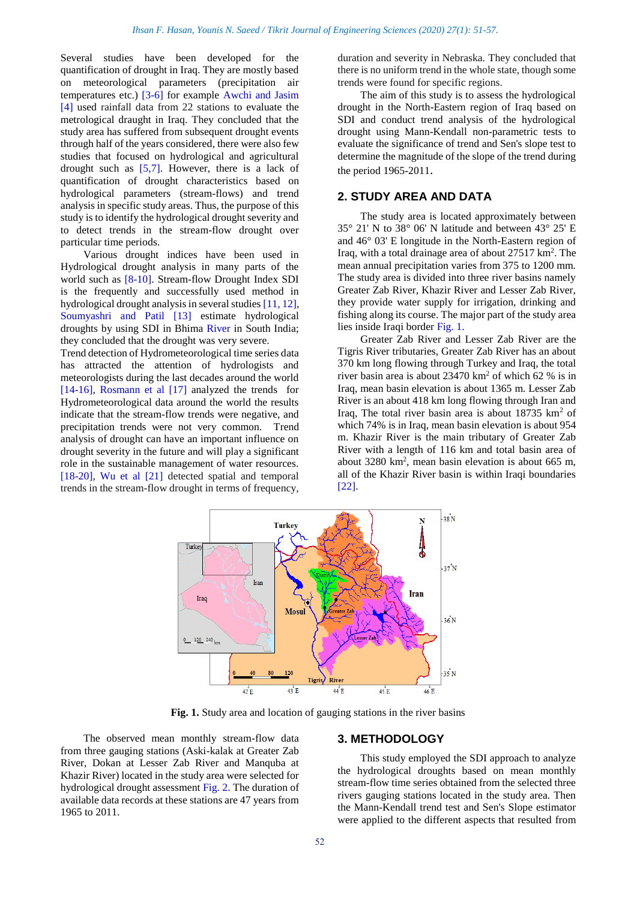Several studies have been developed for the quantification of drought in Iraq. They are mostly based on meteorological parameters (precipitation air temperatures etc.) [3-6] for example Awchi and Jasim [4] used rainfall data from 22 stations to evaluate the metrological draught in Iraq. They concluded that the study area has suffered from subsequent drought events through half of the years considered, there were also few studies that focused on hydrological and agricultural drought such as [5,7]. However, there is a lack of quantification of drought characteristics based on hydrological parameters (stream-flows) and trend analysis in specific study areas. Thus, the purpose of this study is to identify the hydrological drought severity and to detect trends in the stream-flow drought over particular time periods.

Various drought indices have been used in Hydrological drought analysis in many parts of the world such as [8-10]. Stream-flow Drought Index SDI is the frequently and successfully used method in hydrological drought analysis in several studies [11, 12], Soumyashri and Patil [13] estimate hydrological droughts by using SDI in Bhima River in South India; they concluded that the drought was very severe.

Trend detection of Hydrometeorological time series data has attracted the attention of hydrologists and meteorologists during the last decades around the world [14-16], Rosmann et al [17] analyzed the trends for Hydrometeorological data around the world the results indicate that the stream-flow trends were negative, and precipitation trends were not very common. Trend analysis of drought can have an important influence on drought severity in the future and will play a significant role in the sustainable management of water resources. [18-20], Wu et al [21] detected spatial and temporal trends in the stream-flow drought in terms of frequency,

duration and severity in Nebraska. They concluded that there is no uniform trend in the whole state, though some trends were found for specific regions.

The aim of this study is to assess the hydrological drought in the North-Eastern region of Iraq based on SDI and conduct trend analysis of the hydrological drought using Mann-Kendall non-parametric tests to evaluate the significance of trend and Sen's slope test to determine the magnitude of the slope of the trend during the period 1965-2011.

#### **2. STUDY AREA AND DATA**

The study area is located approximately between 35° 21' N to 38° 06' N latitude and between 43° 25' E and 46° 03' E longitude in the North-Eastern region of Iraq, with a total drainage area of about 27517 km<sup>2</sup>. The mean annual precipitation varies from 375 to 1200 mm. The study area is divided into three river basins namely Greater Zab River, Khazir River and Lesser Zab River, they provide water supply for irrigation, drinking and fishing along its course. The major part of the study area lies inside Iraqi border Fig. 1.

Greater Zab River and Lesser Zab River are the Tigris River tributaries, Greater Zab River has an about 370 km long flowing through Turkey and Iraq, the total river basin area is about 23470 km<sup>2</sup> of which 62 % is in Iraq, mean basin elevation is about 1365 m. Lesser Zab River is an about 418 km long flowing through Iran and Iraq, The total river basin area is about  $18735 \text{ km}^2$  of which 74% is in Iraq, mean basin elevation is about 954 m. Khazir River is the main tributary of Greater Zab River with a length of 116 km and total basin area of about 3280 km<sup>2</sup> , mean basin elevation is about 665 m, all of the Khazir River basin is within Iraqi boundaries [22].



**Fig. 1.** Study area and location of gauging stations in the river basins

The observed mean monthly stream-flow data from three gauging stations (Aski-kalak at Greater Zab River, Dokan at Lesser Zab River and Manquba at Khazir River) located in the study area were selected for hydrological drought assessment Fig. 2. The duration of available data records at these stations are 47 years from 1965 to 2011.

#### **3. METHODOLOGY**

This study employed the SDI approach to analyze the hydrological droughts based on mean monthly stream-flow time series obtained from the selected three rivers gauging stations located in the study area. Then the Mann-Kendall trend test and Sen's Slope estimator were applied to the different aspects that resulted from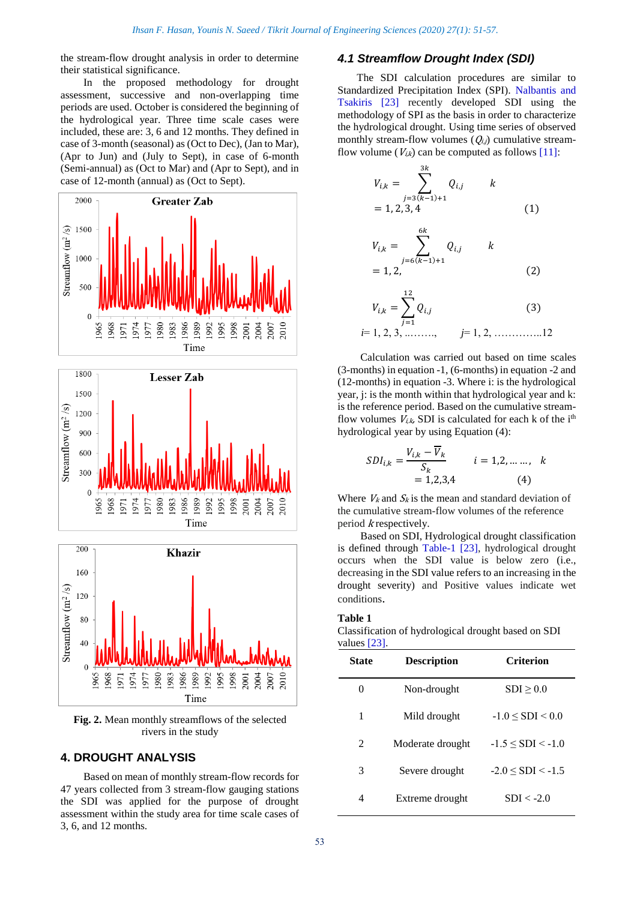the stream-flow drought analysis in order to determine their statistical significance.

In the proposed methodology for drought assessment, successive and non-overlapping time periods are used. October is considered the beginning of the hydrological year. Three time scale cases were included, these are: 3, 6 and 12 months. They defined in case of 3-month (seasonal) as (Oct to Dec), (Jan to Mar), (Apr to Jun) and (July to Sept), in case of 6-month (Semi-annual) as (Oct to Mar) and (Apr to Sept), and in case of 12-month (annual) as (Oct to Sept).







**Fig. 2.** Mean monthly streamflows of the selected rivers in the study

# **4. DROUGHT ANALYSIS**

Based on mean of monthly stream-flow records for 47 years collected from 3 stream-flow gauging stations the SDI was applied for the purpose of drought assessment within the study area for time scale cases of 3, 6, and 12 months.

# *4.1 Streamflow Drought Index (SDI)*

The SDI calculation procedures are similar to Standardized Precipitation Index (SPI). Nalbantis and Tsakiris [23] recently developed SDI using the methodology of SPI as the basis in order to characterize the hydrological drought. Using time series of observed monthly stream-flow volumes  $(Q_{i,j})$  cumulative streamflow volume ( $V_{i,k}$ ) can be computed as follows [11]:

$$
V_{i,k} = \sum_{j=3(k-1)+1}^{3k} Q_{i,j} \t k
$$
  
= 1, 2, 3, 4  

$$
V_{i,k} = \sum_{j=6(k-1)+1}^{6k} Q_{i,j} \t k
$$
  
= 1, 2,  

$$
V_{i,k} = \sum_{j=6}^{12} Q_{i,j} \t (3)
$$

$$
V_{i,k} = \sum_{j=1}^{k} Q_{i,j}
$$
 (3)  
*i*= 1, 2, 3, ........., *j*= 1, 2, .........12

Calculation was carried out based on time scales (3-months) in equation -1, (6-months) in equation -2 and (12-months) in equation -3. Where i: is the hydrological year, j: is the month within that hydrological year and k: is the reference period. Based on the cumulative streamflow volumes  $V_{i,k}$ , SDI is calculated for each k of the i<sup>th</sup> hydrological year by using Equation (4):

$$
SDI_{i,k} = \frac{V_{i,k} - V_k}{S_k}
$$
  $i = 1, 2, \dots, k$   
= 1,2,3,4 (4)

Where  $V_k$  and  $S_k$  is the mean and standard deviation of the cumulative stream-flow volumes of the reference period k respectively.

Based on SDI, Hydrological drought classification is defined through Table-1 [23], hydrological drought occurs when the SDI value is below zero (i.e., decreasing in the SDI value refers to an increasing in the drought severity) and Positive values indicate wet conditions.

#### **Table 1**

Classification of hydrological drought based on SDI values [23].

| State          | <b>Description</b> | Criterion                 |
|----------------|--------------------|---------------------------|
| 0              | Non-drought        | SDI > 0.0                 |
| 1              | Mild drought       | $-1.0 \le SDI \le 0.0$    |
| $\mathfrak{D}$ | Moderate drought   | $-1.5 \leq SDI \leq -1.0$ |
| 3              | Severe drought     | $-2.0 \leq SDI \leq -1.5$ |
| 4              | Extreme drought    | $SDI < -2.0$              |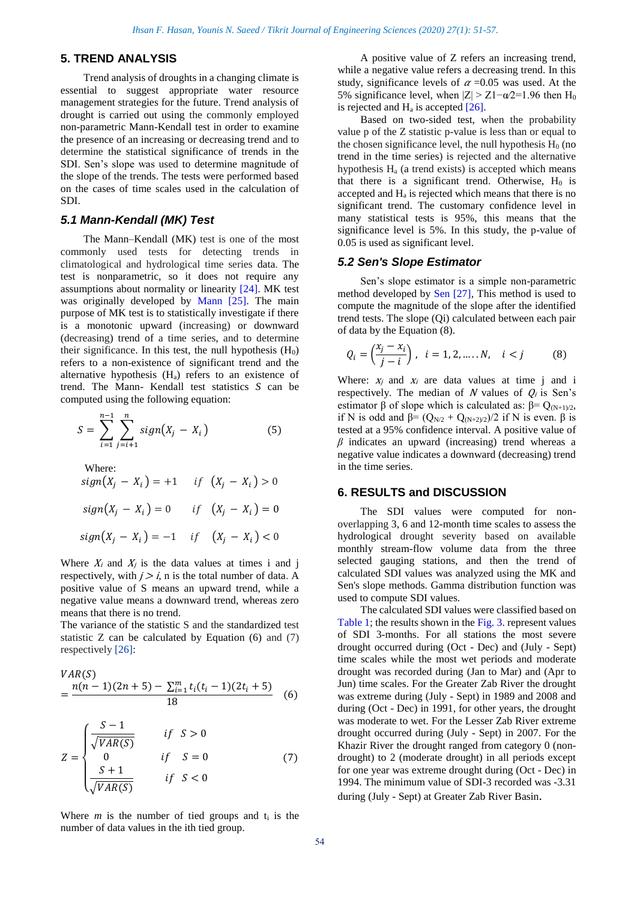# **5. TREND ANALYSIS**

Trend analysis of droughts in a changing climate is essential to suggest appropriate water resource management strategies for the future. Trend analysis of drought is carried out using the commonly employed non-parametric Mann-Kendall test in order to examine the presence of an increasing or decreasing trend and to determine the statistical significance of trends in the SDI. Sen's slope was used to determine magnitude of the slope of the trends. The tests were performed based on the cases of time scales used in the calculation of SDI.

# *5.1 Mann-Kendall (MK) Test*

The Mann–Kendall (MK) test is one of the most commonly used tests for detecting trends in climatological and hydrological time series data. The test is nonparametric, so it does not require any assumptions about normality or linearity [24]. MK test was originally developed by Mann [25]. The main purpose of MK test is to statistically investigate if there is a monotonic upward (increasing) or downward (decreasing) trend of a time series, and to determine their significance. In this test, the null hypothesis  $(H_0)$ refers to a non-existence of significant trend and the alternative hypothesis  $(H_a)$  refers to an existence of trend. The Mann- Kendall test statistics *S* can be computed using the following equation:

$$
S = \sum_{i=1}^{n-1} \sum_{j=i+1}^{n} sign(X_j - X_i)
$$
 (5)

Where:  
\n
$$
sign(X_j - X_i) = +1 \quad \text{if} \quad (X_j - X_i) > 0
$$
\n
$$
sign(X_j - X_i) = 0 \quad \text{if} \quad (X_j - X_i) = 0
$$
\n
$$
sign(X_j - X_i) = -1 \quad \text{if} \quad (X_j - X_i) < 0
$$

Where  $X_i$  and  $X_j$  is the data values at times i and j respectively, with  $j > i$ , n is the total number of data. A positive value of S means an upward trend, while a negative value means a downward trend, whereas zero means that there is no trend.

The variance of the statistic S and the standardized test statistic  $Z$  can be calculated by Equation (6) and (7) respectively [26]:

$$
VAR(S)
$$
  
= 
$$
\frac{n(n-1)(2n+5) - \sum_{i=1}^{m} t_i(t_i-1)(2t_i+5)}{18}
$$
 (6)

$$
Z = \begin{cases} \frac{S-1}{\sqrt{VAR(S)}} & \text{if } S > 0\\ 0 & \text{if } S = 0\\ \frac{S+1}{\sqrt{VAR(S)}} & \text{if } S < 0 \end{cases} \tag{7}
$$

Where  $m$  is the number of tied groups and  $t_i$  is the number of data values in the ith tied group.

A positive value of Z refers an increasing trend, while a negative value refers a decreasing trend. In this study, significance levels of  $\alpha$  =0.05 was used. At the 5% significance level, when  $|Z| > Z1-\alpha/2=1.96$  then H<sub>0</sub> is rejected and  $H<sub>a</sub>$  is accepted [26].

Based on two-sided test, when the probability value p of the Z statistic p-value is less than or equal to the chosen significance level, the null hypothesis  $H_0$  (no trend in the time series) is rejected and the alternative hypothesis  $H<sub>a</sub>$  (a trend exists) is accepted which means that there is a significant trend. Otherwise,  $H_0$  is accepted and  $H_a$  is rejected which means that there is no significant trend. The customary confidence level in many statistical tests is 95%, this means that the significance level is 5%. In this study, the p-value of 0.05 is used as significant level.

# *5.2 Sen's Slope Estimator*

Sen's slope estimator is a simple non-parametric method developed by Sen [27], This method is used to compute the magnitude of the slope after the identified trend tests. The slope (Qi) calculated between each pair of data by the Equation (8).

$$
Q_i = \left(\frac{x_j - x_i}{j - i}\right), \ \ i = 1, 2, \dots, N, \quad i < j \tag{8}
$$

Where:  $x_i$  and  $x_i$  are data values at time j and i respectively. The median of N values of  $Q_i$  is Sen's estimator  $\beta$  of slope which is calculated as:  $\beta = Q_{(N+1)/2}$ , if N is odd and  $\beta = (Q_{N/2} + Q_{(N+2)/2})/2$  if N is even.  $\beta$  is tested at a 95% confidence interval. A positive value of *β* indicates an upward (increasing) trend whereas a negative value indicates a downward (decreasing) trend in the time series.

# **6. RESULTS and DISCUSSION**

The SDI values were computed for nonoverlapping 3, 6 and 12-month time scales to assess the hydrological drought severity based on available monthly stream-flow volume data from the three selected gauging stations, and then the trend of calculated SDI values was analyzed using the MK and Sen's slope methods. Gamma distribution function was used to compute SDI values.

The calculated SDI values were classified based on Table 1; the results shown in the Fig. 3. represent values of SDI 3-months. For all stations the most severe drought occurred during (Oct - Dec) and (July - Sept) time scales while the most wet periods and moderate drought was recorded during (Jan to Mar) and (Apr to Jun) time scales. For the Greater Zab River the drought was extreme during (July - Sept) in 1989 and 2008 and during (Oct - Dec) in 1991, for other years, the drought was moderate to wet. For the Lesser Zab River extreme drought occurred during (July - Sept) in 2007. For the Khazir River the drought ranged from category 0 (nondrought) to 2 (moderate drought) in all periods except for one year was extreme drought during (Oct - Dec) in 1994. The minimum value of SDI-3 recorded was -3.31 during (July - Sept) at Greater Zab River Basin.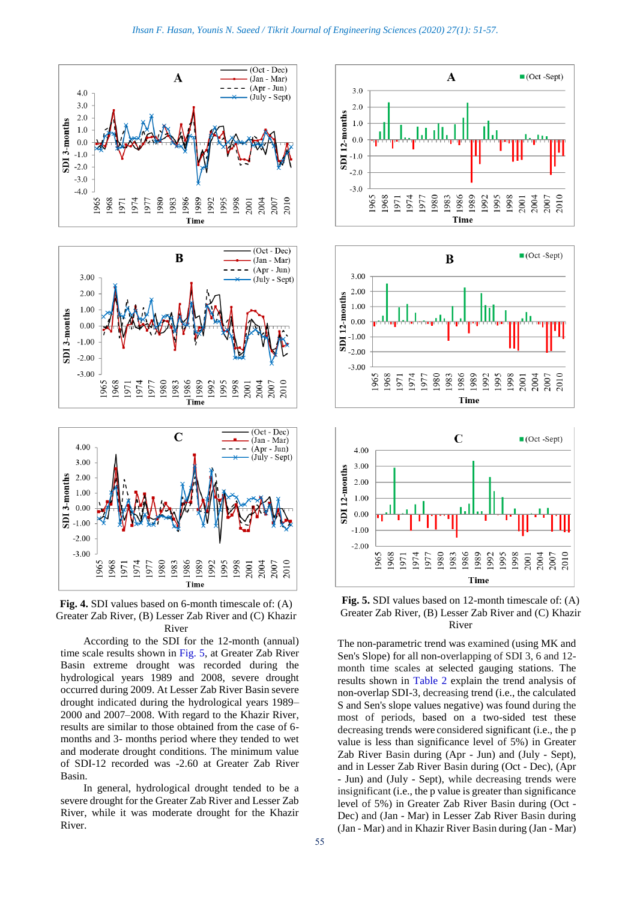



According to the SDI for the 12-month (annual) time scale results shown in Fig. 5, at Greater Zab River Basin extreme drought was recorded during the hydrological years 1989 and 2008, severe drought occurred during 2009. At Lesser Zab River Basin severe drought indicated during the hydrological years 1989– 2000 and 2007–2008. With regard to the Khazir River, results are similar to those obtained from the case of 6 months and 3- months period where they tended to wet and moderate drought conditions. The minimum value of SDI-12 recorded was -2.60 at Greater Zab River Basin.

In general, hydrological drought tended to be a severe drought for the Greater Zab River and Lesser Zab River, while it was moderate drought for the Khazir River.







**Fig. 5.** SDI values based on 12-month timescale of: (A) Greater Zab River, (B) Lesser Zab River and (C) Khazir River

The non-parametric trend was examined (using MK and Sen's Slope) for all non-overlapping of SDI 3, 6 and 12 month time scales at selected gauging stations. The results shown in Table 2 explain the trend analysis of non-overlap SDI-3, decreasing trend (i.e., the calculated S and Sen's slope values negative) was found during the most of periods, based on a two-sided test these decreasing trends were considered significant (i.e., the p value is less than significance level of 5%) in Greater Zab River Basin during (Apr - Jun) and (July - Sept), and in Lesser Zab River Basin during (Oct - Dec), (Apr - Jun) and (July - Sept), while decreasing trends were insignificant (i.e., the p value is greater than significance level of 5%) in Greater Zab River Basin during (Oct - Dec) and (Jan - Mar) in Lesser Zab River Basin during (Jan - Mar) and in Khazir River Basin during (Jan - Mar)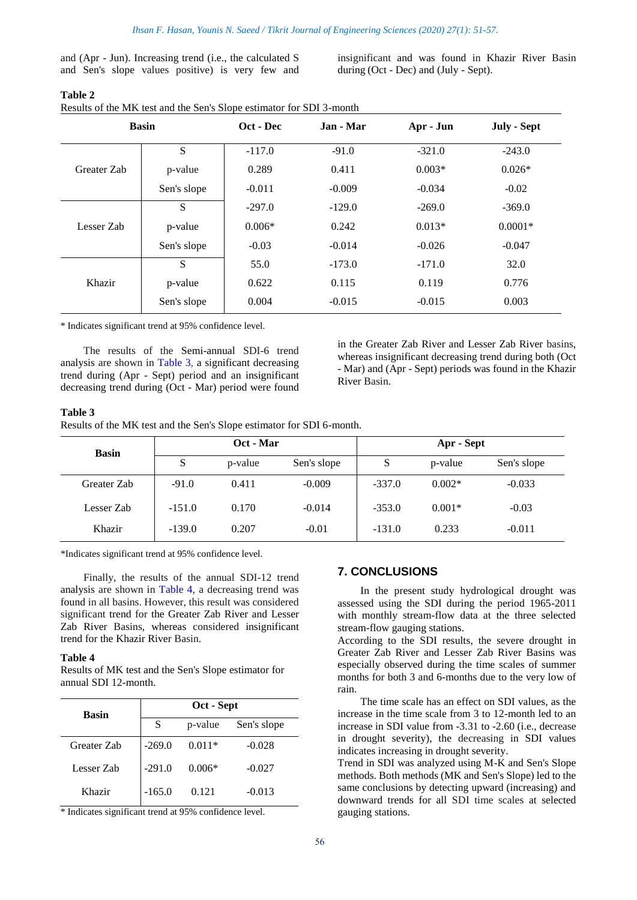and (Apr - Jun). Increasing trend (i.e., the calculated S and Sen's slope values positive) is very few and insignificant and was found in Khazir River Basin during (Oct - Dec) and (July - Sept).

| Results of the MK test and the Sen's Slope estimator for SDI 3-month |  |
|----------------------------------------------------------------------|--|

|             | <b>Basin</b> | Oct - Dec | Jan - Mar | Apr - Jun | July - Sept |
|-------------|--------------|-----------|-----------|-----------|-------------|
|             | S            | $-117.0$  | $-91.0$   | $-321.0$  | $-243.0$    |
| Greater Zab | p-value      | 0.289     | 0.411     | $0.003*$  | $0.026*$    |
|             | Sen's slope  | $-0.011$  | $-0.009$  | $-0.034$  | $-0.02$     |
| Lesser Zab  | S            | $-297.0$  | $-129.0$  | $-269.0$  | $-369.0$    |
|             | p-value      | $0.006*$  | 0.242     | $0.013*$  | $0.0001*$   |
|             | Sen's slope  | $-0.03$   | $-0.014$  | $-0.026$  | $-0.047$    |
|             | S            | 55.0      | $-173.0$  | $-171.0$  | 32.0        |
| Khazir      | p-value      | 0.622     | 0.115     | 0.119     | 0.776       |
|             | Sen's slope  | 0.004     | $-0.015$  | $-0.015$  | 0.003       |

\* Indicates significant trend at 95% confidence level.

The results of the Semi-annual SDI-6 trend analysis are shown in Table 3, a significant decreasing trend during (Apr - Sept) period and an insignificant decreasing trend during (Oct - Mar) period were found in the Greater Zab River and Lesser Zab River basins, whereas insignificant decreasing trend during both (Oct - Mar) and (Apr - Sept) periods was found in the Khazir River Basin.

#### **Table 3**

Results of the MK test and the Sen's Slope estimator for SDI 6-month.

| <b>Basin</b> | Oct - Mar |         |             | Apr - Sept |          |             |
|--------------|-----------|---------|-------------|------------|----------|-------------|
|              | S         | p-value | Sen's slope | S          | p-value  | Sen's slope |
| Greater Zab  | $-91.0$   | 0.411   | $-0.009$    | $-337.0$   | $0.002*$ | $-0.033$    |
| Lesser Zab   | $-151.0$  | 0.170   | $-0.014$    | $-353.0$   | $0.001*$ | $-0.03$     |
| Khazir       | $-139.0$  | 0.207   | $-0.01$     | $-131.0$   | 0.233    | $-0.011$    |

\*Indicates significant trend at 95% confidence level.

Finally, the results of the annual SDI-12 trend analysis are shown in Table 4, a decreasing trend was found in all basins. However, this result was considered significant trend for the Greater Zab River and Lesser Zab River Basins, whereas considered insignificant trend for the Khazir River Basin.

#### **Table 4**

Results of MK test and the Sen's Slope estimator for annual SDI 12-month.

| <b>Basin</b> | Oct - Sept |          |             |  |
|--------------|------------|----------|-------------|--|
|              | S          | p-value  | Sen's slope |  |
| Greater Zab  | $-269.0$   | $0.011*$ | $-0.028$    |  |
| Lesser Zab   | $-291.0$   | $0.006*$ | $-0.027$    |  |
| Khazir       | $-165.0$   | 0.121    | $-0.013$    |  |

\* Indicates significant trend at 95% confidence level.

# **7. CONCLUSIONS**

In the present study hydrological drought was assessed using the SDI during the period 1965-2011 with monthly stream-flow data at the three selected stream-flow gauging stations.

According to the SDI results, the severe drought in Greater Zab River and Lesser Zab River Basins was especially observed during the time scales of summer months for both 3 and 6-months due to the very low of rain.

The time scale has an effect on SDI values, as the increase in the time scale from 3 to 12-month led to an increase in SDI value from -3.31 to -2.60 (i.e., decrease in drought severity), the decreasing in SDI values indicates increasing in drought severity.

Trend in SDI was analyzed using M-K and Sen's Slope methods. Both methods (MK and Sen's Slope) led to the same conclusions by detecting upward (increasing) and downward trends for all SDI time scales at selected gauging stations.